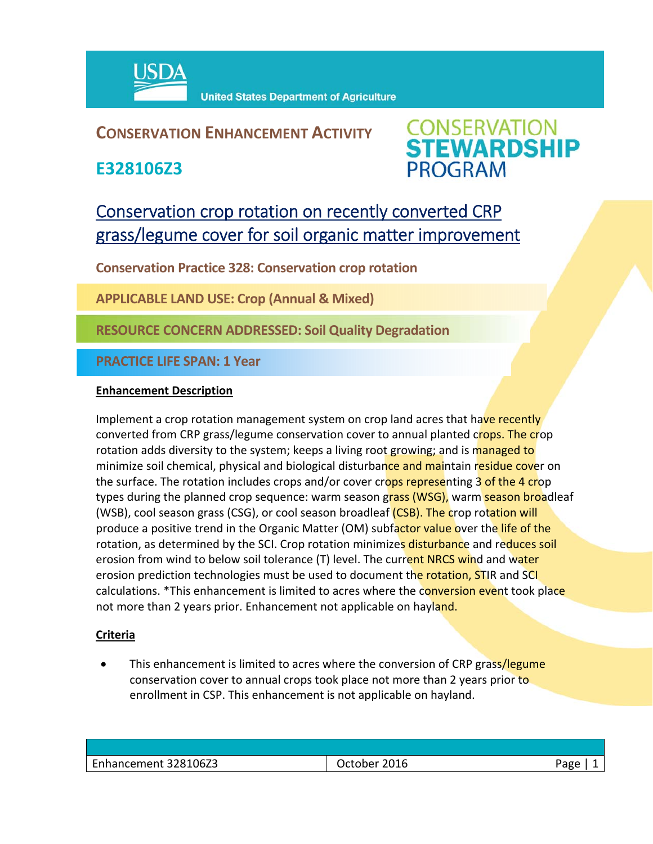

## **CONSERVATION ENHANCEMENT ACTIVITY**

**E328106Z3**



# Conservation crop rotation on recently converted CRP grass/legume cover for soil organic matter improvement

**Conservation Practice 328: Conservation crop rotation** 

**APPLICABLE LAND USE: Crop (Annual & Mixed)** 

**RESOURCE CONCERN ADDRESSED: Soil Quality Degradation**

**PRACTICE LIFE SPAN: 1 Year**

### **Enhancement Description**

Implement a crop rotation management system on crop land acres that have recently converted from CRP grass/legume conservation cover to annual planted crops. The crop rotation adds diversity to the system; keeps a living root growing; and is managed to minimize soil chemical, physical and biological disturbance and maintain residue cover on the surface. The rotation includes crops and/or cover crops representing 3 of the 4 crop types during the planned crop sequence: warm season grass (WSG), warm season broadleaf (WSB), cool season grass (CSG), or cool season broadleaf (CSB). The crop rotation will produce a positive trend in the Organic Matter (OM) subfactor value over the life of the rotation, as determined by the SCI. Crop rotation minimizes disturbance and reduces soil erosion from wind to below soil tolerance (T) level. The current NRCS wind and water erosion prediction technologies must be used to document the rotation, STIR and SCI calculations. \*This enhancement is limited to acres where the conversion event took place not more than 2 years prior. Enhancement not applicable on hayland.

### **Criteria**

This enhancement is limited to acres where the conversion of CRP grass/legume conservation cover to annual crops took place not more than 2 years prior to enrollment in CSP. This enhancement is not applicable on hayland.

| Enhancement 328106Z3 | 2016<br>Jctober | 'age |
|----------------------|-----------------|------|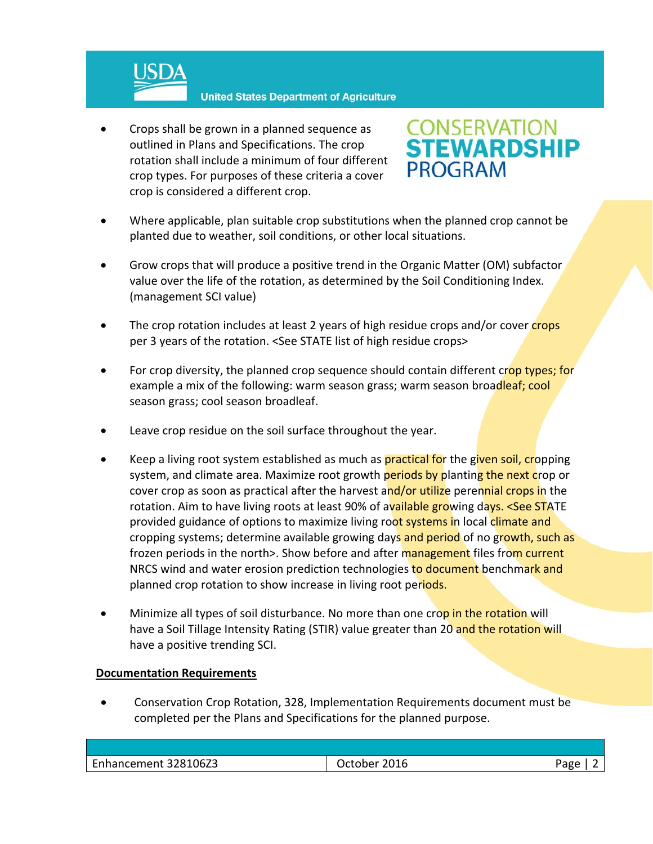

 Crops shall be grown in a planned sequence as outlined in Plans and Specifications. The crop rotation shall include a minimum of four different crop types. For purposes of these criteria a cover crop is considered a different crop.



- Where applicable, plan suitable crop substitutions when the planned crop cannot be planted due to weather, soil conditions, or other local situations.
- Grow crops that will produce a positive trend in the Organic Matter (OM) subfactor value over the life of the rotation, as determined by the Soil Conditioning Index. (management SCI value)
- The crop rotation includes at least 2 years of high residue crops and/or cover crops per 3 years of the rotation. <See STATE list of high residue crops>
- For crop diversity, the planned crop sequence should contain different crop types; for example a mix of the following: warm season grass; warm season broadleaf; cool season grass; cool season broadleaf.
- Leave crop residue on the soil surface throughout the year.
- Keep a living root system established as much as **practical for** the given soil, cropping system, and climate area. Maximize root growth periods by planting the next crop or cover crop as soon as practical after the harvest and/or utilize perennial crops in the rotation. Aim to have living roots at least 90% of available growing days. <See STATE provided guidance of options to maximize living root systems in local climate and cropping systems; determine available growing days and period of no growth, such as frozen periods in the north>. Show before and after management files from current NRCS wind and water erosion prediction technologies to document benchmark and planned crop rotation to show increase in living root periods.
- Minimize all types of soil disturbance. No more than one crop in the rotation will have a Soil Tillage Intensity Rating (STIR) value greater than 20 and the rotation will have a positive trending SCI.

#### **Documentation Requirements**

 Conservation Crop Rotation, 328, Implementation Requirements document must be completed per the Plans and Specifications for the planned purpose.

| Enhancement 328106Z3 | 2016<br>$.1+$<br>her. | oar |
|----------------------|-----------------------|-----|
|                      |                       |     |